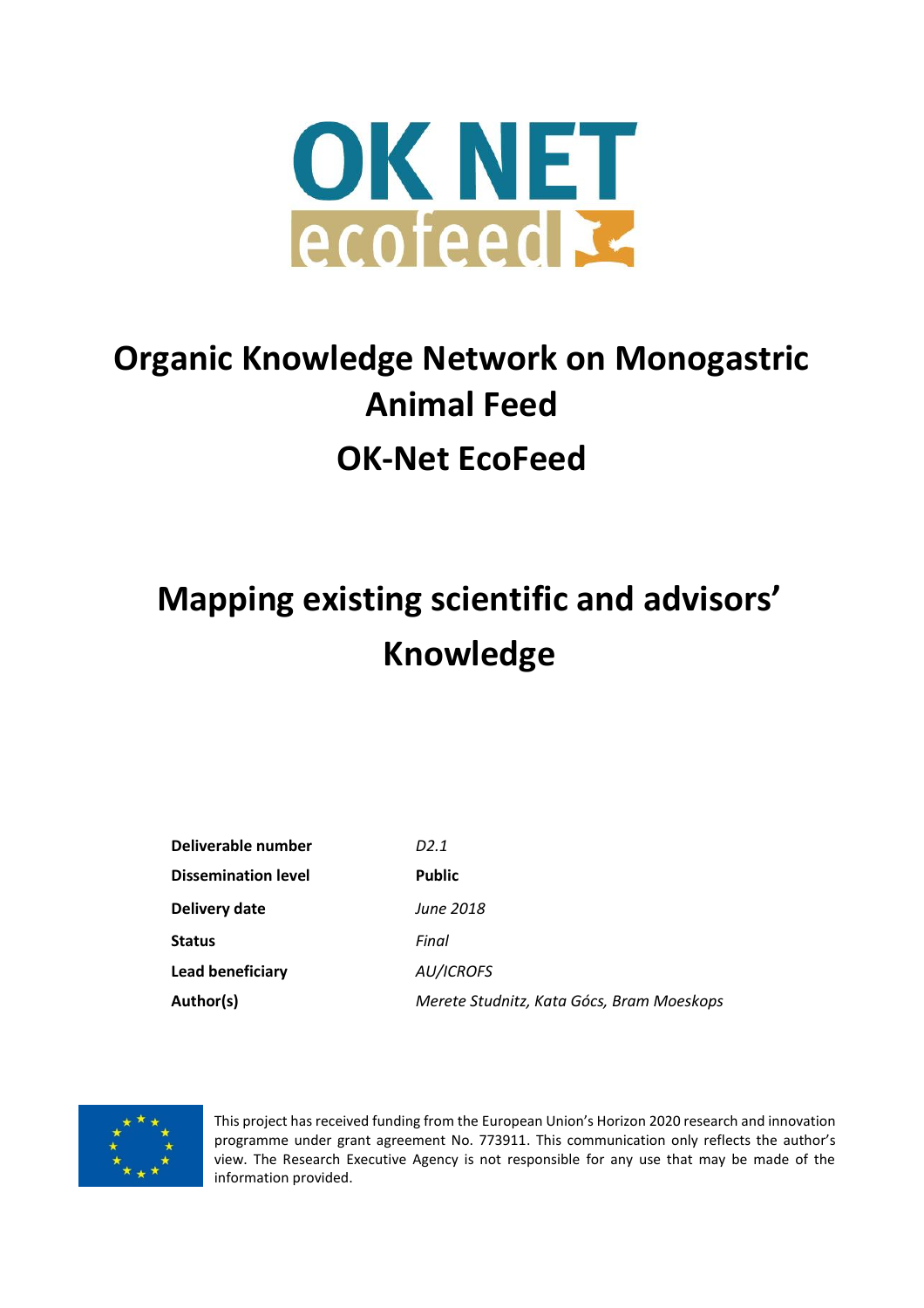

## **Organic Knowledge Network on Monogastric Animal Feed OK-Net EcoFeed**

# **Mapping existing scientific and advisors' Knowledge**

| Deliverable number         | D2.1                                      |
|----------------------------|-------------------------------------------|
| <b>Dissemination level</b> | <b>Public</b>                             |
| Delivery date              | <b>June 2018</b>                          |
| <b>Status</b>              | Final                                     |
| <b>Lead beneficiary</b>    | AU/ICROFS                                 |
| Author(s)                  | Merete Studnitz, Kata Gócs, Bram Moeskops |



This project has received funding from the European Union's Horizon 2020 research and innovation programme under grant agreement No. 773911. This communication only reflects the author's view. The Research Executive Agency is not responsible for any use that may be made of the information provided.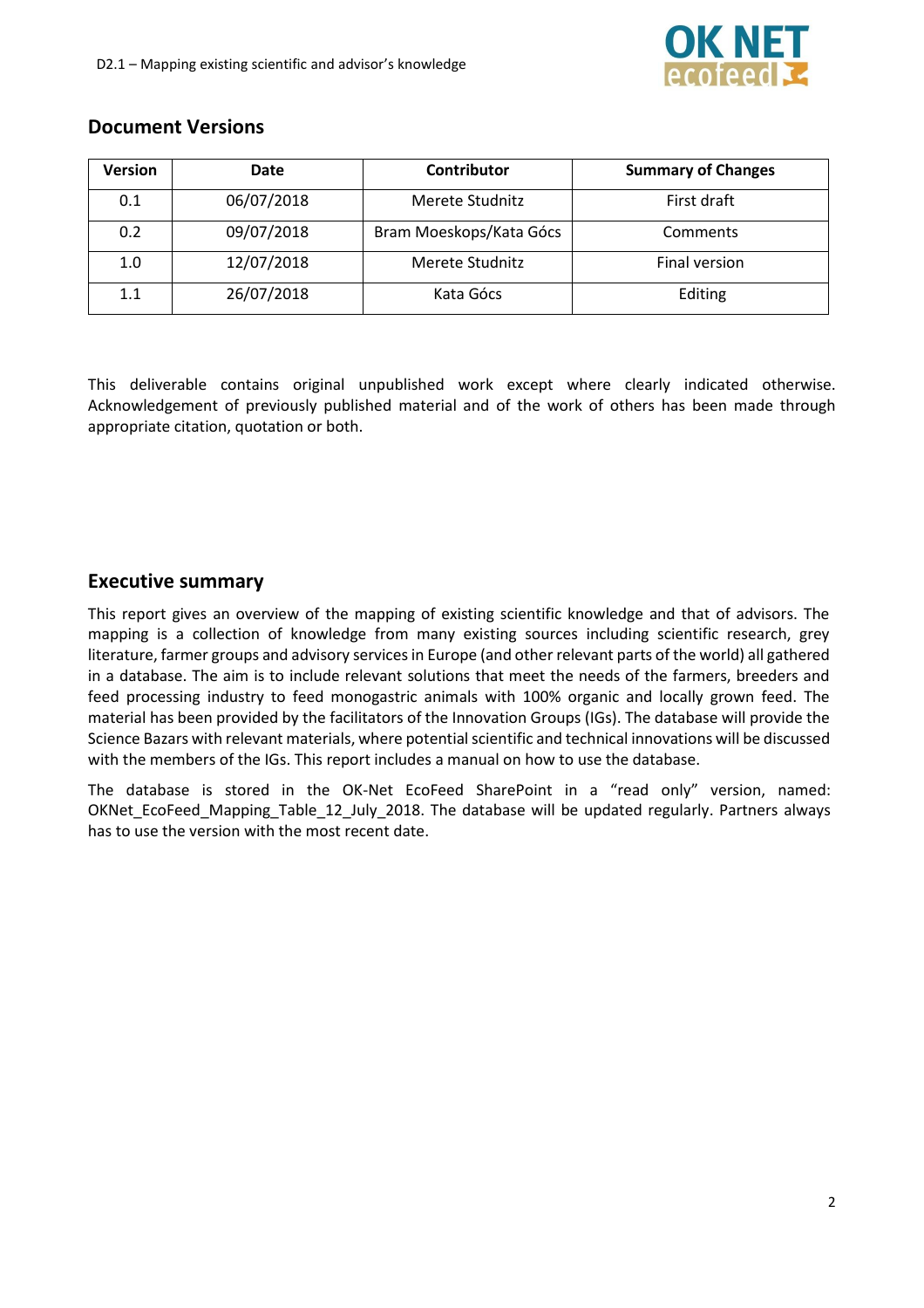

#### **Document Versions**

| <b>Version</b> | <b>Date</b> | Contributor             | <b>Summary of Changes</b> |
|----------------|-------------|-------------------------|---------------------------|
| 0.1            | 06/07/2018  | Merete Studnitz         | First draft               |
| 0.2            | 09/07/2018  | Bram Moeskops/Kata Gócs | Comments                  |
| 1.0            | 12/07/2018  | Merete Studnitz         | Final version             |
| 1.1            | 26/07/2018  | Kata Gócs               | Editing                   |

This deliverable contains original unpublished work except where clearly indicated otherwise. Acknowledgement of previously published material and of the work of others has been made through appropriate citation, quotation or both.

#### **Executive summary**

This report gives an overview of the mapping of existing scientific knowledge and that of advisors. The mapping is a collection of knowledge from many existing sources including scientific research, grey literature, farmer groups and advisory services in Europe (and other relevant parts of the world) all gathered in a database. The aim is to include relevant solutions that meet the needs of the farmers, breeders and feed processing industry to feed monogastric animals with 100% organic and locally grown feed. The material has been provided by the facilitators of the Innovation Groups (IGs). The database will provide the Science Bazars with relevant materials, where potential scientific and technical innovations will be discussed with the members of the IGs. This report includes a manual on how to use the database.

The database is stored in the OK-Net EcoFeed SharePoint in a "read only" version, named: OKNet EcoFeed Mapping Table 12 July 2018. The database will be updated regularly. Partners always has to use the version with the most recent date.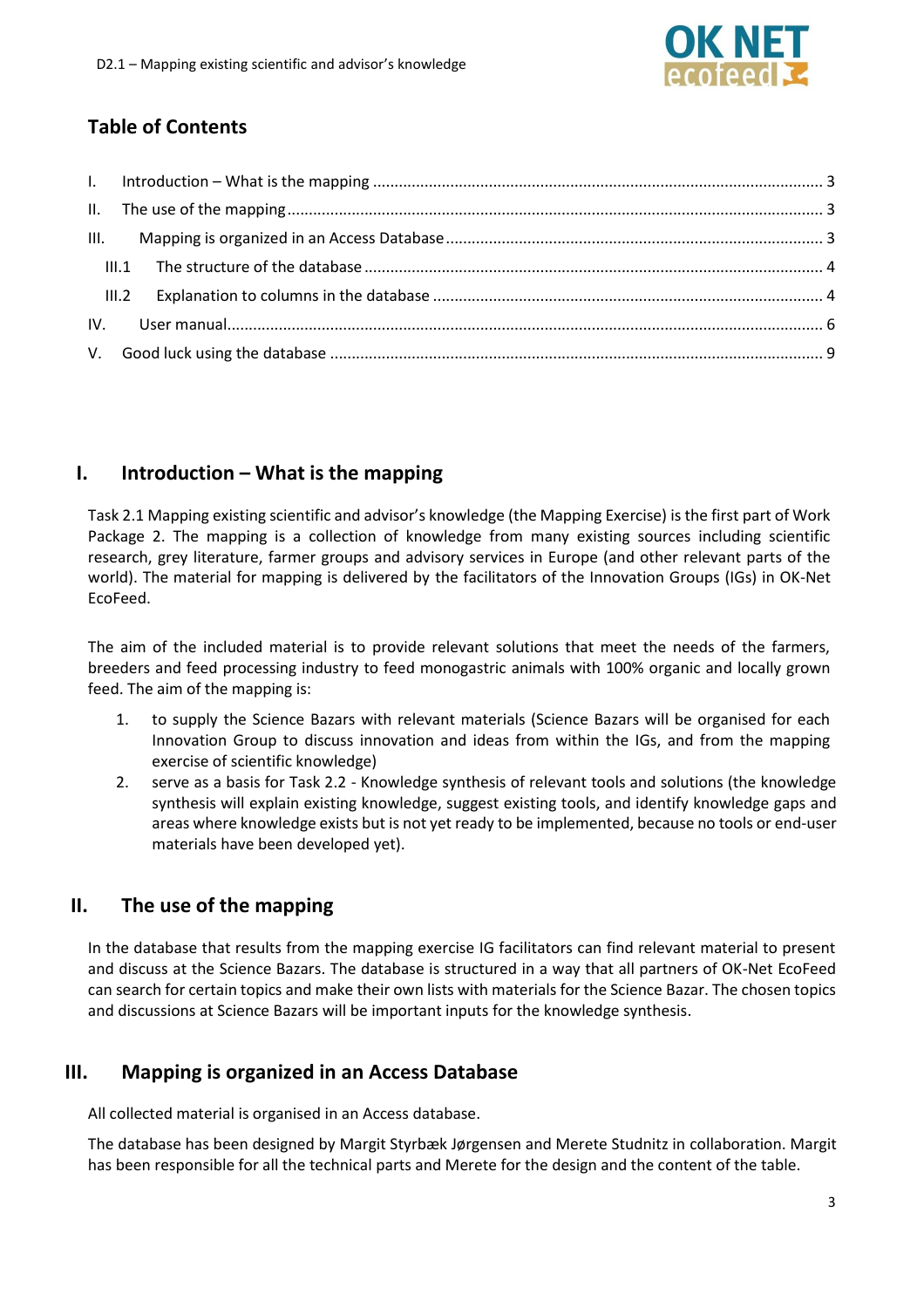## **Table of Contents**

### <span id="page-2-0"></span>**I. Introduction – What is the mapping**

Task 2.1 Mapping existing scientific and advisor's knowledge (the Mapping Exercise) is the first part of Work Package 2. The mapping is a collection of knowledge from many existing sources including scientific research, grey literature, farmer groups and advisory services in Europe (and other relevant parts of the world). The material for mapping is delivered by the facilitators of the Innovation Groups (IGs) in OK-Net EcoFeed.

The aim of the included material is to provide relevant solutions that meet the needs of the farmers, breeders and feed processing industry to feed monogastric animals with 100% organic and locally grown feed. The aim of the mapping is:

- 1. to supply the Science Bazars with relevant materials (Science Bazars will be organised for each Innovation Group to discuss innovation and ideas from within the IGs, and from the mapping exercise of scientific knowledge)
- 2. serve as a basis for Task 2.2 Knowledge synthesis of relevant tools and solutions (the knowledge synthesis will explain existing knowledge, suggest existing tools, and identify knowledge gaps and areas where knowledge exists but is not yet ready to be implemented, because no tools or end-user materials have been developed yet).

### <span id="page-2-1"></span>**II. The use of the mapping**

In the database that results from the mapping exercise IG facilitators can find relevant material to present and discuss at the Science Bazars. The database is structured in a way that all partners of OK-Net EcoFeed can search for certain topics and make their own lists with materials for the Science Bazar. The chosen topics and discussions at Science Bazars will be important inputs for the knowledge synthesis.

### <span id="page-2-2"></span>**III. Mapping is organized in an Access Database**

All collected material is organised in an Access database.

The database has been designed by Margit Styrbæk Jørgensen and Merete Studnitz in collaboration. Margit has been responsible for all the technical parts and Merete for the design and the content of the table.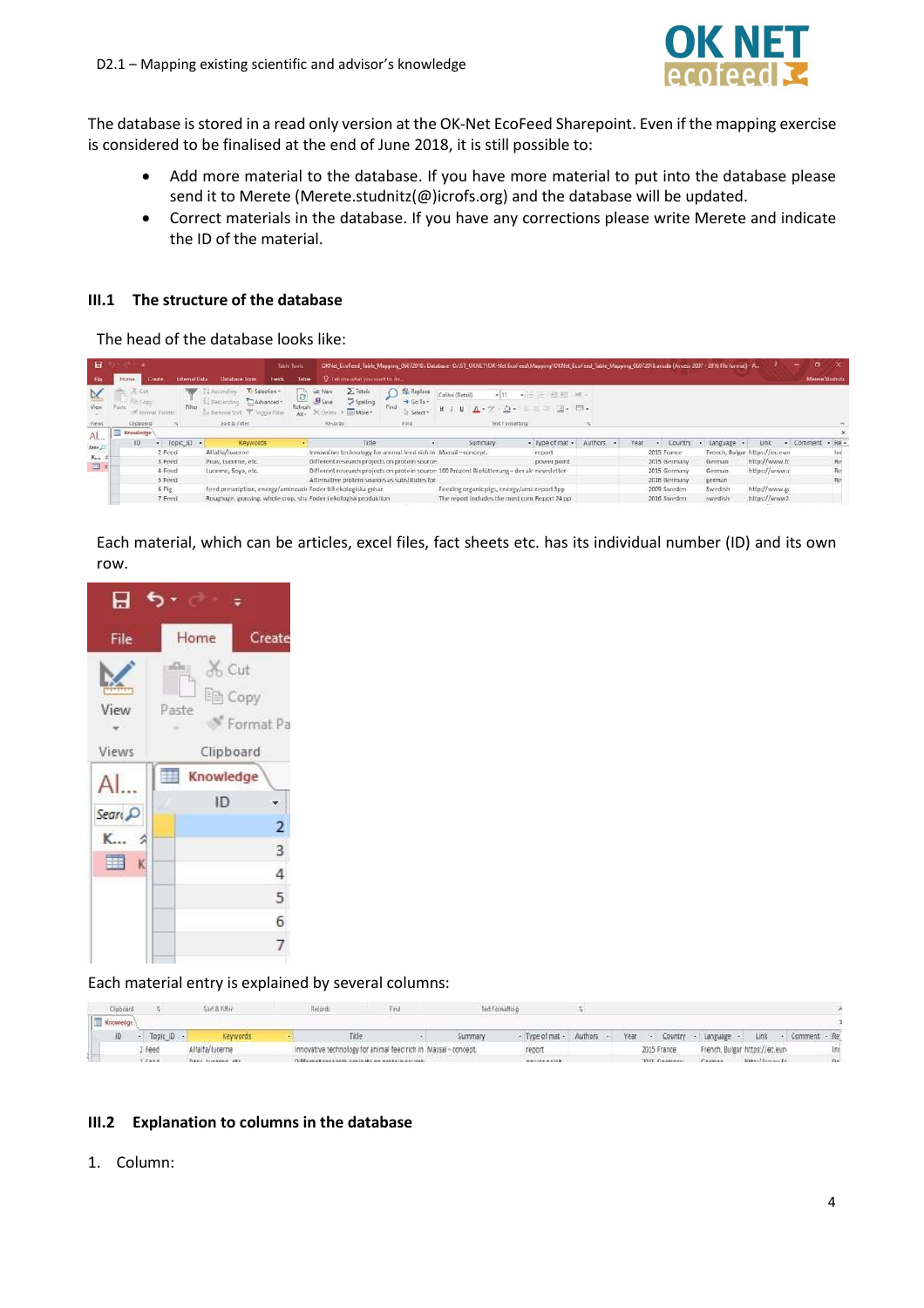

The database is stored in a read only version at the OK-Net EcoFeed Sharepoint. Even if the mapping exercise is considered to be finalised at the end of June 2018, it is still possible to:

- Add more material to the database. If you have more material to put into the database please send it to Merete (Merete.studnitz(@)icrofs.org) and the database will be updated.
- Correct materials in the database. If you have any corrections please write Merete and indicate the ID of the material.

#### <span id="page-3-0"></span>**III.1 The structure of the database**

The head of the database looks like:

| 日                     |                                       |                      |                                                                                        | Table Tools                               |                                                                                            |                                                               | OKNet_EcoFeed_Table_Mapping_06072018: Database- O:\ST_OKNET\OK-Net EcoFeed\Mapping\OKNet_EcoFeed_Table_Mapping_06072018.accdb (Access 2007 - 2016 file format) - A |                                                                                                                        |           |      |              |                 |                                | o                |          |
|-----------------------|---------------------------------------|----------------------|----------------------------------------------------------------------------------------|-------------------------------------------|--------------------------------------------------------------------------------------------|---------------------------------------------------------------|--------------------------------------------------------------------------------------------------------------------------------------------------------------------|------------------------------------------------------------------------------------------------------------------------|-----------|------|--------------|-----------------|--------------------------------|------------------|----------|
|                       | Create<br>Home                        | <b>External Data</b> | Database Tools<br>Fields                                                               | Table                                     | Q Tell me what you want to do                                                              |                                                               |                                                                                                                                                                    |                                                                                                                        |           |      |              |                 |                                | Merete Studnitz  |          |
| N.<br>View            | Paste<br><sup>36</sup> Format Painter | Filter               | Y Selection -<br>Ascending<br>TAdvanced-<br>Descending<br>Su Remove Sort Toggle Filter | - 00<br>$\mathcal{C}$<br>Refresh<br>Att + | $\sum$ Totals<br>New<br><b>MS</b> Spelling<br>B <sub>Save</sub><br>X Delete . Illil More - | <b>Replace</b><br>$\rightarrow$ Go To -<br>Find<br>E: Select+ | Calibri (Detail)<br>$B I U A - V - O -$                                                                                                                            | • 第三 祖相 M -<br>$\mathbb{R}$ $\mathbb{R}$ $\mathbb{R}$ $\mathbb{R}$ $\mathbb{R}$ $\mathbb{R}$ $\mathbb{R}$ $\mathbb{R}$ |           |      |              |                 |                                |                  |          |
| Views                 | Clipboard                             | $-12.1$              | Sort & Fitter.                                                                         |                                           | Records                                                                                    | Find                                                          |                                                                                                                                                                    | Text Formatting                                                                                                        |           |      |              |                 |                                |                  | n.       |
| Al                    | Knowledge                             |                      |                                                                                        |                                           |                                                                                            |                                                               |                                                                                                                                                                    |                                                                                                                        |           |      |              |                 |                                |                  | $\times$ |
|                       | ID                                    | - Topic ID -         | Keywords                                                                               |                                           | Title                                                                                      |                                                               | Summary                                                                                                                                                            | - Type of mat -                                                                                                        | Authors - | Year | - Country    | Language .<br>٠ | Link                           | - Comment - Re - |          |
| Sean P                |                                       | 2 Feed               | Alfalfa/lucerne                                                                        |                                           | Innovative technology for animal feed rich in Massai-concept.                              |                                                               |                                                                                                                                                                    | report                                                                                                                 |           |      | 2015 France  |                 | French, Bulgar https://ec.euro |                  |          |
| $K_{\text{max}}$<br>m |                                       | 3 Feed               | Peas, Lucerne, etc.                                                                    |                                           | Different research projects on protein source-                                             |                                                               |                                                                                                                                                                    | power point                                                                                                            |           |      | 2015 Germany | German          | http://www.fc                  |                  | Re-      |
|                       |                                       | 4 Feed               | Lucerne, Soya, etc.                                                                    |                                           |                                                                                            |                                                               | Different research projects on protein source: 100 Prozent Biofütterung - der akt newsletter                                                                       |                                                                                                                        |           |      | 2015 Germany | German.         | https://www.c                  |                  | Re:      |
|                       |                                       | 5 Feed               |                                                                                        |                                           | Alternative protein sources as substitutes for                                             |                                                               |                                                                                                                                                                    |                                                                                                                        |           |      | 2016 Germany | german          |                                |                  | Re:      |
|                       |                                       | 6 Pig                | feed prescription, energy/aminoaci: Foder till ekologiska grisar                       |                                           |                                                                                            |                                                               | Feeding organic pigs, energy/amicreport Spp                                                                                                                        |                                                                                                                        |           |      | 2009 Sweden  | Swedish         | http://www.g.                  |                  |          |
|                       |                                       | 7 Feed               | Roughage, grassing, whole crop, stra Foder i ekologisk produktion                      |                                           |                                                                                            |                                                               | The report includes the most com Report 24 pp                                                                                                                      |                                                                                                                        |           |      | 2016 Sweden  | swedish         | https://www2                   |                  |          |

Each material, which can be articles, excel files, fact sheets etc. has its individual number (ID) and its own row.



Each material entry is explained by several columns:

| Clipboard |              | Sort & Filter                          | Records                                                                                  |                                                               |         | Text Formatting                   |  |  |                                                                                                                                                                                                                                |  |  |
|-----------|--------------|----------------------------------------|------------------------------------------------------------------------------------------|---------------------------------------------------------------|---------|-----------------------------------|--|--|--------------------------------------------------------------------------------------------------------------------------------------------------------------------------------------------------------------------------------|--|--|
| Knowledge |              |                                        |                                                                                          |                                                               |         |                                   |  |  |                                                                                                                                                                                                                                |  |  |
|           | - Topic ID - | Keywords                               | Title                                                                                    |                                                               | Summary | - Type of mat - Authors -         |  |  | Year - Country - Language - Link - Comment - Re                                                                                                                                                                                |  |  |
|           | Feed         | Alfalfa/lucerne                        |                                                                                          | Innovative technology for animal feed rich in Massai-concept. |         | report                            |  |  | 2015 France French, Bulgar https://ec.eur-                                                                                                                                                                                     |  |  |
|           | de Ministra  | We will allow a simple and in the will | the life provided work a study of a life and in the base of a state of the state and the |                                                               |         | that accounts a series believe to |  |  | the art discussion of the state of the state of the state of the state of the state of the state of the state of the state of the state of the state of the state of the state of the state of the state of the state of the s |  |  |

#### <span id="page-3-1"></span>**III.2 Explanation to columns in the database**

1. Column: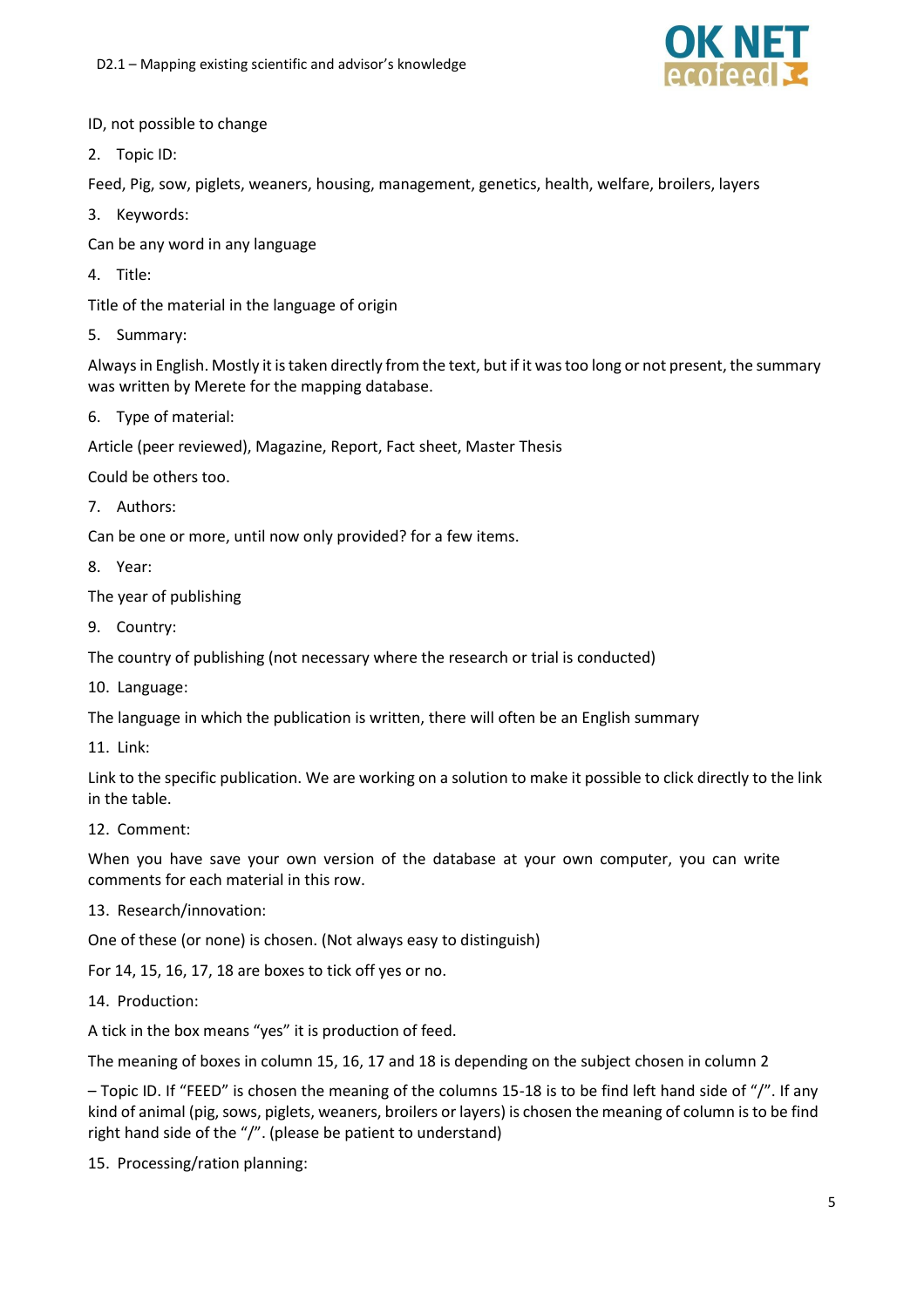

#### ID, not possible to change

2. Topic ID:

Feed, Pig, sow, piglets, weaners, housing, management, genetics, health, welfare, broilers, layers

- 3. Keywords:
- Can be any word in any language
- 4. Title:

Title of the material in the language of origin

5. Summary:

Always in English. Mostly it is taken directly from the text, but if it was too long or not present, the summary was written by Merete for the mapping database.

6. Type of material:

Article (peer reviewed), Magazine, Report, Fact sheet, Master Thesis

Could be others too.

7. Authors:

Can be one or more, until now only provided? for a few items.

- 8. Year:
- The year of publishing
- 9. Country:

The country of publishing (not necessary where the research or trial is conducted)

10. Language:

The language in which the publication is written, there will often be an English summary

11. Link:

Link to the specific publication. We are working on a solution to make it possible to click directly to the link in the table.

12. Comment:

When you have save your own version of the database at your own computer, you can write comments for each material in this row.

13. Research/innovation:

One of these (or none) is chosen. (Not always easy to distinguish)

For 14, 15, 16, 17, 18 are boxes to tick off yes or no.

14. Production:

A tick in the box means "yes" it is production of feed.

The meaning of boxes in column 15, 16, 17 and 18 is depending on the subject chosen in column 2

– Topic ID. If "FEED" is chosen the meaning of the columns 15-18 is to be find left hand side of "/". If any kind of animal (pig, sows, piglets, weaners, broilers or layers) is chosen the meaning of column is to be find right hand side of the "/". (please be patient to understand)

15. Processing/ration planning: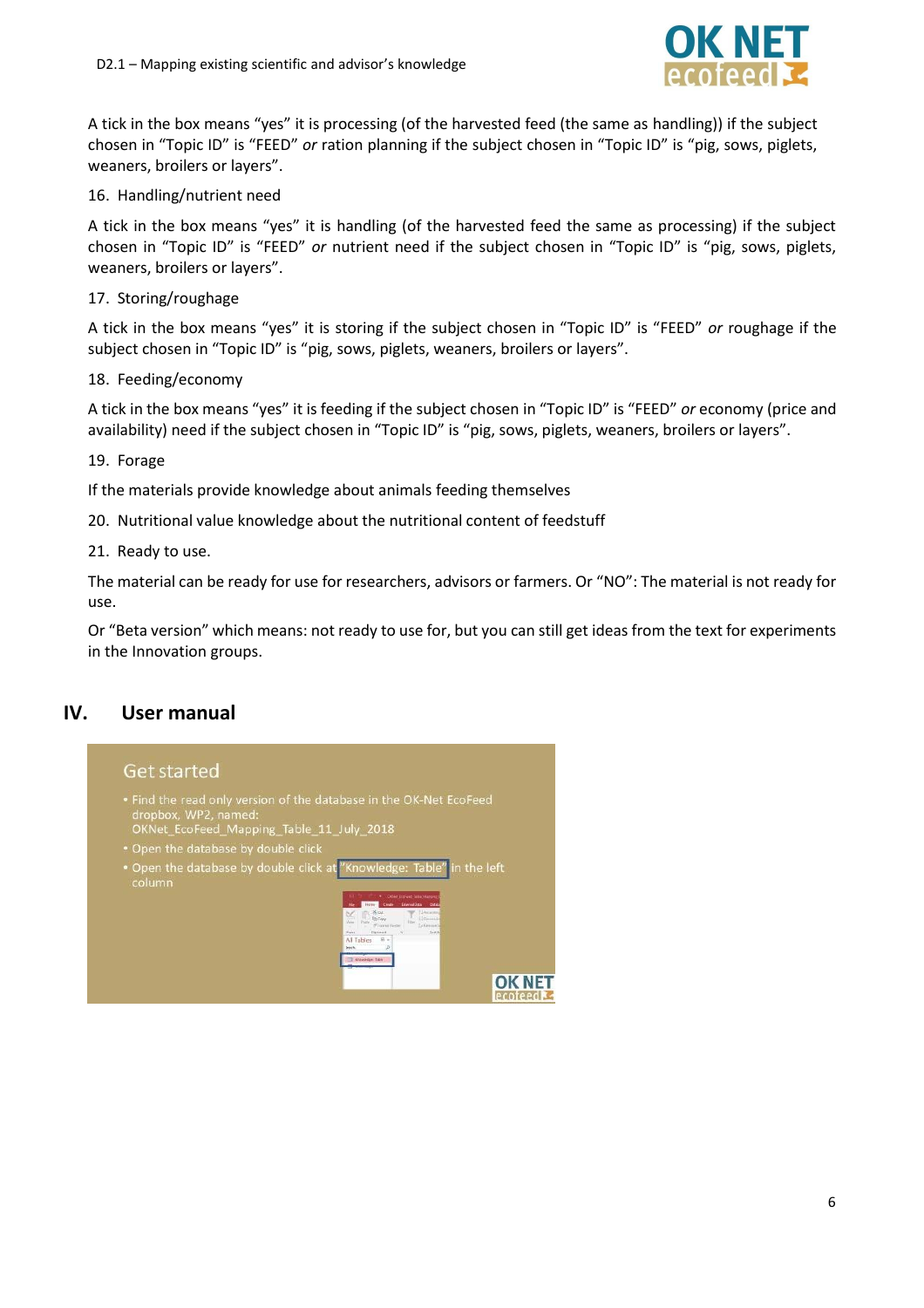

A tick in the box means "yes" it is processing (of the harvested feed (the same as handling)) if the subject chosen in "Topic ID" is "FEED" *or* ration planning if the subject chosen in "Topic ID" is "pig, sows, piglets, weaners, broilers or layers".

16. Handling/nutrient need

A tick in the box means "yes" it is handling (of the harvested feed the same as processing) if the subject chosen in "Topic ID" is "FEED" *or* nutrient need if the subject chosen in "Topic ID" is "pig, sows, piglets, weaners, broilers or layers".

17. Storing/roughage

A tick in the box means "yes" it is storing if the subject chosen in "Topic ID" is "FEED" *or* roughage if the subject chosen in "Topic ID" is "pig, sows, piglets, weaners, broilers or layers".

18. Feeding/economy

A tick in the box means "yes" it is feeding if the subject chosen in "Topic ID" is "FEED" *or* economy (price and availability) need if the subject chosen in "Topic ID" is "pig, sows, piglets, weaners, broilers or layers".

19. Forage

If the materials provide knowledge about animals feeding themselves

20. Nutritional value knowledge about the nutritional content of feedstuff

21. Ready to use.

The material can be ready for use for researchers, advisors or farmers. Or "NO": The material is not ready for use.

Or "Beta version" which means: not ready to use for, but you can still get ideas from the text for experiments in the Innovation groups.

#### <span id="page-5-0"></span>**IV. User manual**

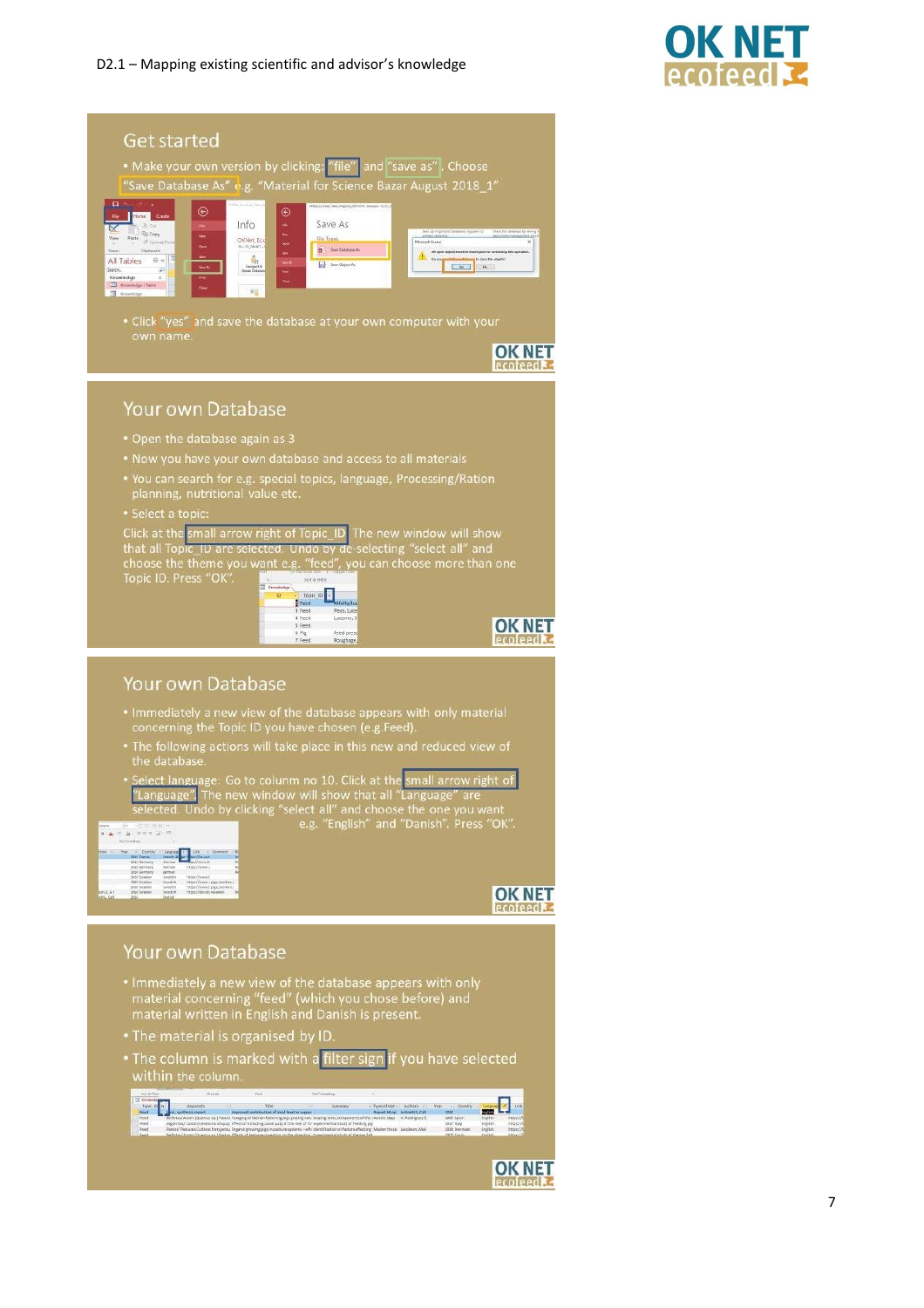

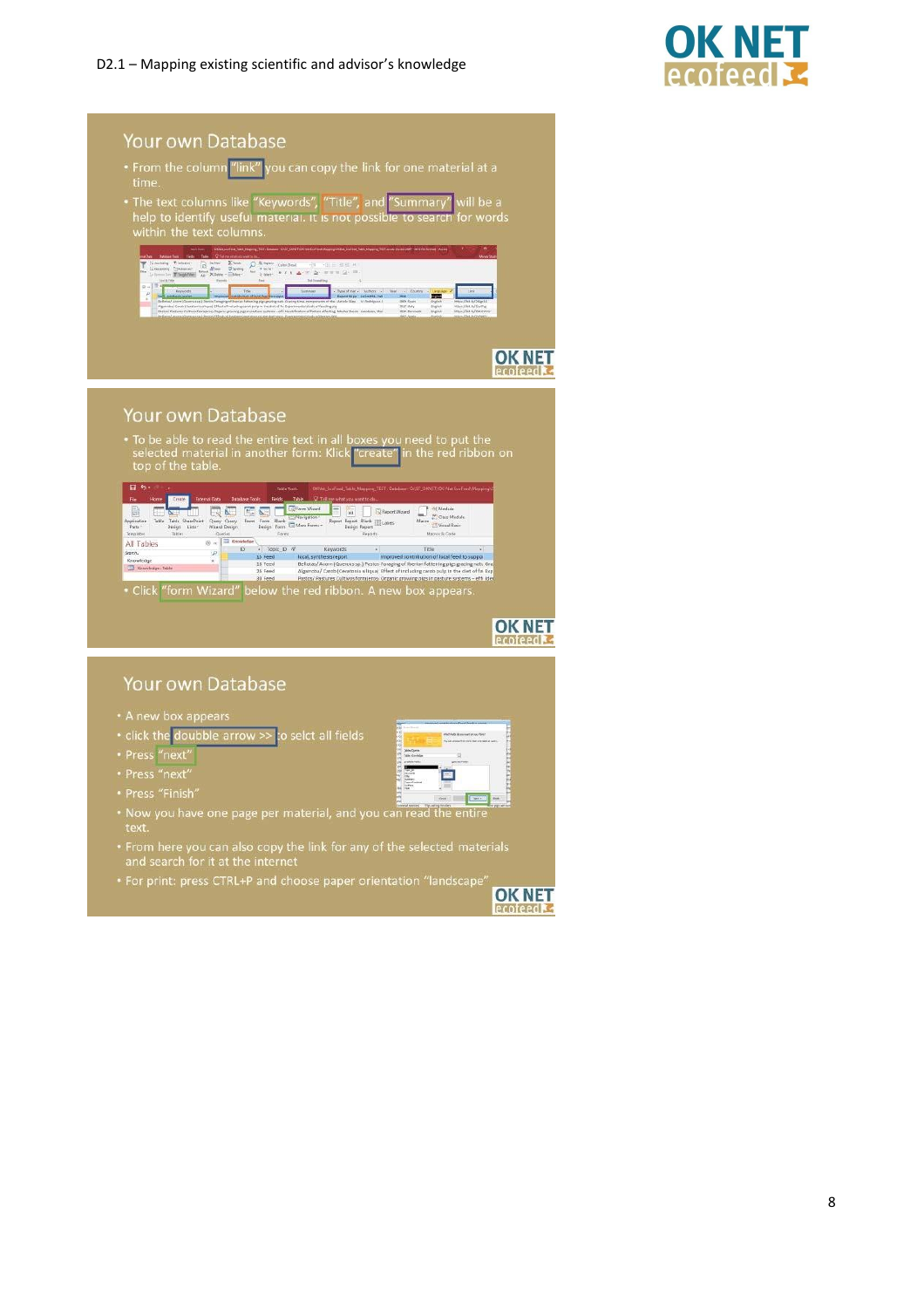

| time.                                                                         | . The text columns like "Keywords", "Title", and "Summary'                                                     |                                                                                                                                                                                                                                                                                                                                                                                                                                                                                                                                                            |                                                                                        |                                                                                                                                                                                         | will be a      |  |
|-------------------------------------------------------------------------------|----------------------------------------------------------------------------------------------------------------|------------------------------------------------------------------------------------------------------------------------------------------------------------------------------------------------------------------------------------------------------------------------------------------------------------------------------------------------------------------------------------------------------------------------------------------------------------------------------------------------------------------------------------------------------------|----------------------------------------------------------------------------------------|-----------------------------------------------------------------------------------------------------------------------------------------------------------------------------------------|----------------|--|
|                                                                               | help to identify useful material. It is not possible to search for words                                       |                                                                                                                                                                                                                                                                                                                                                                                                                                                                                                                                                            |                                                                                        |                                                                                                                                                                                         |                |  |
|                                                                               | within the text columns.                                                                                       |                                                                                                                                                                                                                                                                                                                                                                                                                                                                                                                                                            |                                                                                        |                                                                                                                                                                                         |                |  |
| <b>List &amp; Fries</b>                                                       | $\mathcal{D}$<br>$\begin{array}{c}\n\bullet\text{ def.} \\ \bullet\text{ def.}\n\end{array}$<br>Fine<br>Taxant | 初期情報<br>Caller (Band)<br>$-71$<br>with the<br>$\mathbf{A} \neq \mathbf{B} \cdot \mathbf{A} \cdot \mathbf{B} \cdot \mathbf{A} \cdot \mathbf{B} \cdot \mathbf{B} \cdot \mathbf{B} \cdot \mathbf{B} \cdot \mathbf{B} \cdot \mathbf{B} \cdot \mathbf{B} \cdot \mathbf{B} \cdot \mathbf{B} \cdot \mathbf{B} \cdot \mathbf{B} \cdot \mathbf{B} \cdot \mathbf{B} \cdot \mathbf{B} \cdot \mathbf{B} \cdot \mathbf{B} \cdot \mathbf{B} \cdot \mathbf{B} \cdot \mathbf{B} \cdot \mathbf{B} \cdot \mathbf{B} \cdot \mathbf{B} \cdot \mathbf$<br><b>Tech Forestown</b> |                                                                                        |                                                                                                                                                                                         |                |  |
| $8 + 124$<br>Estosyado<br>ř                                                   | Tirki                                                                                                          | Sicensons                                                                                                                                                                                                                                                                                                                                                                                                                                                                                                                                                  | Typictrie - Autors -<br>Dunks<br><b>THAT</b><br>2004<br>2009 Spect<br><b>2837 INAV</b> | 1 inch<br>空国<br>https://bit.luf24ipt1/<br><b>District</b><br>When IThe Art Stuffe                                                                                                       |                |  |
|                                                                               |                                                                                                                |                                                                                                                                                                                                                                                                                                                                                                                                                                                                                                                                                            | 2010 Detroit                                                                           | trave<br>Intec//Mita/Dictrinic                                                                                                                                                          |                |  |
|                                                                               |                                                                                                                |                                                                                                                                                                                                                                                                                                                                                                                                                                                                                                                                                            |                                                                                        |                                                                                                                                                                                         | <b>OK NE</b>   |  |
|                                                                               |                                                                                                                |                                                                                                                                                                                                                                                                                                                                                                                                                                                                                                                                                            |                                                                                        |                                                                                                                                                                                         | ecofeed        |  |
|                                                                               |                                                                                                                |                                                                                                                                                                                                                                                                                                                                                                                                                                                                                                                                                            |                                                                                        |                                                                                                                                                                                         |                |  |
|                                                                               |                                                                                                                |                                                                                                                                                                                                                                                                                                                                                                                                                                                                                                                                                            |                                                                                        |                                                                                                                                                                                         |                |  |
|                                                                               | Your own Database                                                                                              |                                                                                                                                                                                                                                                                                                                                                                                                                                                                                                                                                            |                                                                                        |                                                                                                                                                                                         |                |  |
|                                                                               | • To be able to read the entire text in all boxes you need to put the                                          |                                                                                                                                                                                                                                                                                                                                                                                                                                                                                                                                                            |                                                                                        |                                                                                                                                                                                         |                |  |
| top of the table.                                                             | selected material in another form: Klick "create" in the red ribbon on                                         |                                                                                                                                                                                                                                                                                                                                                                                                                                                                                                                                                            |                                                                                        |                                                                                                                                                                                         |                |  |
| 日 ち -                                                                         |                                                                                                                | Table Taple                                                                                                                                                                                                                                                                                                                                                                                                                                                                                                                                                |                                                                                        | 000Mt_EcoFned_Table_Mapping_TEST : Database-12/ST_OKNET\DK-Net EcoFned\Mappin                                                                                                           |                |  |
| Creste<br>B.<br>빪<br>Œ                                                        | <b>Database Tools</b><br><b>External Data</b><br>Fields<br><b>ME NE</b><br>IVA                                 | Table C Tell me what you want to do<br><b>De Form Wrand</b><br>Ξ<br>140<br><b>SHATISTICS</b>                                                                                                                                                                                                                                                                                                                                                                                                                                                               | E Report Wissed                                                                        | Of Module<br><sup>191</sup> Class Module                                                                                                                                                |                |  |
| Table SharePoint<br>Table<br>Parts -<br>Design Lists ><br>Templates<br>Tables | Query Query<br>Form<br>Wisard Design<br>Queries<br><b>ED</b> Knowledge                                         | Form Blank Californigation*<br>Design Form Californie<br>Report<br>Forest                                                                                                                                                                                                                                                                                                                                                                                                                                                                                  | Report Blank [E] Labels<br><b>Design Report</b><br>Reports                             | Macro<br><sup>27</sup> Virtual Basic<br>Magos & Code                                                                                                                                    |                |  |
| All Tables<br>Search.<br>Knowledge                                            | (ii) ac<br>- Topic ID $\pi$<br>ID<br>i,p)<br>15 Feed<br>$\overline{\mathbf{z}}$<br>18 Feed                     | Keywords<br>local, synthesis report                                                                                                                                                                                                                                                                                                                                                                                                                                                                                                                        |                                                                                        | Title<br>Improved contribution of local feed to suppor<br>Bellotas/ Acorn (Quercus sp.) Pastos Foraging of Iberian fattening pigs grazing natu Gra                                      |                |  |
| Application<br>CD Knowledge : Table                                           | 26 Feed<br><b>30 Fever</b>                                                                                     |                                                                                                                                                                                                                                                                                                                                                                                                                                                                                                                                                            |                                                                                        | Algarroba/ Carob (Ceratonia siliqua) Effect of including carob pulp in the diet of far Exp<br>Pastos/ Pastures Cultivos forraleros. Organic growing pigs in pasture systems - effilider |                |  |
|                                                                               | "form Wizard"                                                                                                  | below the red ribbon. A new box appears.                                                                                                                                                                                                                                                                                                                                                                                                                                                                                                                   |                                                                                        |                                                                                                                                                                                         |                |  |
|                                                                               |                                                                                                                |                                                                                                                                                                                                                                                                                                                                                                                                                                                                                                                                                            |                                                                                        |                                                                                                                                                                                         |                |  |
| • Click                                                                       |                                                                                                                |                                                                                                                                                                                                                                                                                                                                                                                                                                                                                                                                                            |                                                                                        |                                                                                                                                                                                         | <b>Proteed</b> |  |
|                                                                               | Your own Database                                                                                              |                                                                                                                                                                                                                                                                                                                                                                                                                                                                                                                                                            |                                                                                        |                                                                                                                                                                                         |                |  |

- 
- 
- Now you have one page per material, and you can read the entire<br>text.
- From here you can also copy the link for any of the selected materials<br>and search for it at the internet

ë

**Taxaal** eessi

\* For print: press CTRL+P and choose paper orientation "landscape"

**OK NET Lecofeed &**